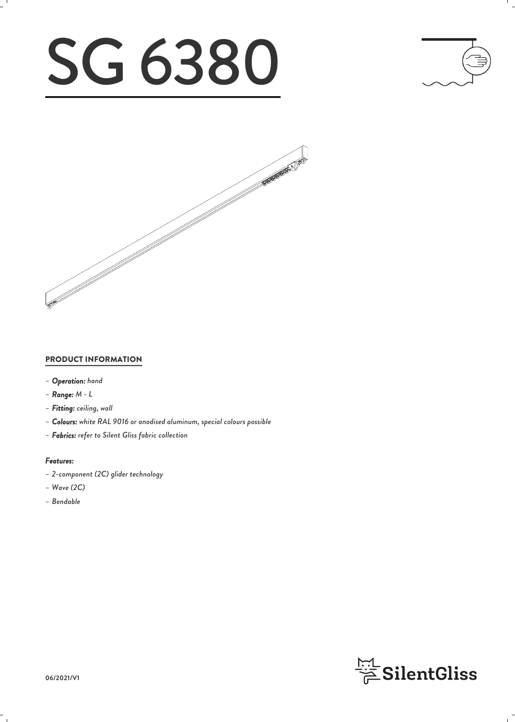# SG 6380





#### PRODUCT INFORMATION

- *– Operation: hand*
- *– Range: M L*
- *– Fitting: ceiling, wall*
- *– Colours: white RAL 9016 or anodised aluminum, special colours possible*
- *– Fabrics: refer to Silent Gliss fabric collection*

#### *Features:*

- *– 2-component (2C) glider technology*
- *– Wave (2C)*
- *– Bendable*

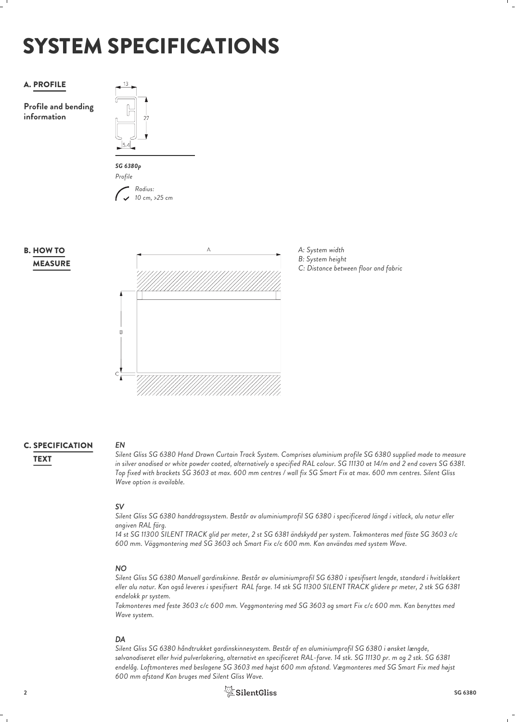## SYSTEM SPECIFICATIONS



### **C. SPECIFICATION** EN

#### *EN*

*Silent Gliss SG 6380 Hand Drawn Curtain Track System. Comprises aluminium profile SG 6380 supplied made to measure in silver anodised or white powder coated, alternatively a specified RAL colour. SG 11130 at 14/m and 2 end covers SG 6381.* TEXT *Top fixed with brackets SG 3603 at max. 600 mm centres / wall fix SG Smart Fix at max. 600 mm centres. Silent Gliss Wave option is available.*

#### *SV*

*Silent Gliss SG 6380 handdragssystem. Består av aluminiumprofil SG 6380 i specificerad längd i vitlack, alu natur eller angiven RAL färg.*

*14 st SG 11300 SILENT TRACK glid per meter, 2 st SG 6381 ändskydd per system. Takmonteras med fäste SG 3603 c/c 600 mm. Väggmontering med SG 3603 och Smart Fix c/c 600 mm. Kan användas med system Wave.*

#### *NO*

*Silent Gliss SG 6380 Manuell gardinskinne. Består av aluminiumprofil SG 6380 i spesifisert lengde, standard i hvitlakkert eller alu natur. Kan også leveres i spesifisert RAL farge. 14 stk SG 11300 SILENT TRACK glidere pr meter, 2 stk SG 6381 endelokk pr system.*

*Takmonteres med feste 3603 c/c 600 mm. Veggmontering med SG 3603 og smart Fix c/c 600 mm. Kan benyttes med Wave system.*

#### *DA*

*Silent Gliss SG 6380 håndtrukket gardinskinnesystem. Består af en aluminiumprofil SG 6380 i ønsket længde, sølvanodiseret eller hvid pulverlakering, alternativt en specificeret RAL-farve. 14 stk. SG 11130 pr. m og 2 stk. SG 6381 endelåg. Loftmonteres med beslagene SG 3603 med højst 600 mm afstand. Vægmonteres med SG Smart Fix med højst 600 mm afstand Kan bruges med Silent Gliss Wave.*

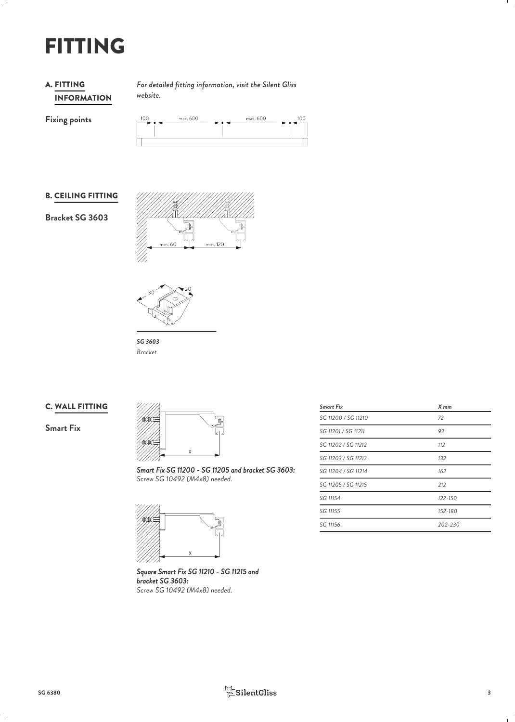## FITTING

#### INFORMATION **A. FITTING**

*For detailed fitting information, visit the Silent Gliss* FITTING *website.*



#### B. CEILING FITTING





*SG 3603 Bracket*

#### C. WALL FITTING

**Smart Fix**



*Smart Fix SG 11200 - SG 11205 and bracket SG 3603: Screw SG 10492 (M4x8) needed.*



*Square Smart Fix SG 11210 - SG 11215 and bracket SG 3603: Screw SG 10492 (M4x8) needed.*

| <b>Smart Fix</b>    | $X$ mm      |  |
|---------------------|-------------|--|
| SG 11200 / SG 11210 | 72          |  |
| SG 11201 / SG 11211 | 92          |  |
| SG 11202 / SG 11212 | 112         |  |
| SG 11203 / SG 11213 | 132         |  |
| SG 11204 / SG 11214 | 162         |  |
| SG 11205 / SG 11215 | 212         |  |
| SG 11154            | $122 - 150$ |  |
| SG 11155            | 152-180     |  |
| SG 11156            | 202-230     |  |
|                     |             |  |

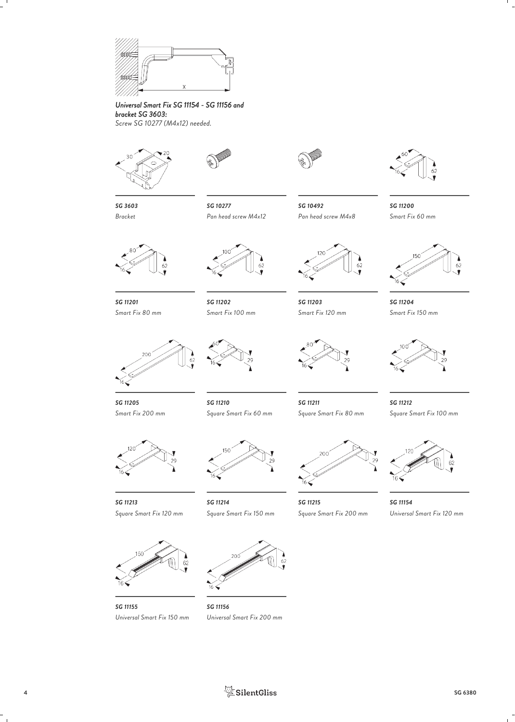

*Universal Smart Fix SG 11154 - SG 11156 and bracket SG 3603: Screw SG 10277 (M4x12) needed.*





*SG 10277 Pan head screw M4x12 Pan head screw M4x8 SG 10492 SG 11200*



*SG 3603 Bracket*



*SG 11201*



*Smart Fix 80 mm*





*SG 11202* Smart Fix 120 mm



*SG 11210 SG 11211*



*Smart Fix 60 mm*



*SG 11203 SG 11204 Smart Fix 120 mm Smart Fix 150 mm*



*Smart Fix 200 mm Square Smart Fix 60 mm Square Smart Fix 80 mm Square Smart Fix 100 mm SG 11212*



*SG 11205*

*SG 11213 Square Smart Fix 120 mm*





*SG 11214 Square Smart Fix 150 mm*



*SG 11215 SG 11154 Square Smart Fix 200 mm Universal Smart Fix 120 mm*



*SG 11155 Universal Smart Fix 150 mm Universal Smart Fix 200 mm*



*SG 11156*

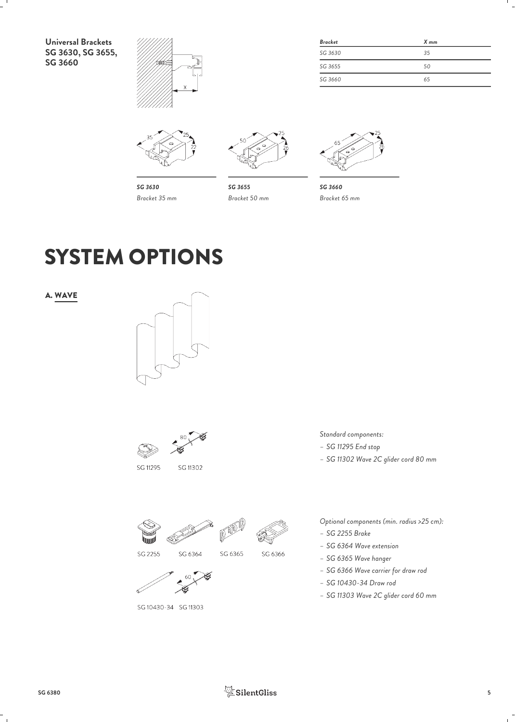**Universal Brackets SG 3630, SG 3655,**<br>**SG 3660 SG 3660**



| Bracket | $X$ mm |
|---------|--------|
| SG 3630 | 35     |
| SG 3655 | 50     |
| SG 3660 | 65     |



*SG 3630*

*Bracket 35 mm SG 3655 SG 3660 Bracket 50 mm Bracket 65 mm*



## SYSTEM OPTIONS





SG 11302

SG 11295



- *– SG 11295 End stop*
- *– SG 11302 Wave 2C glider cord 80 mm*



SG 2255



SG 10430-34 SG 11303

*Optional components (min. radius >25 cm):* 

- *– SG 2255 Brake*
- *– SG 6364 Wave extension*
- *– SG 6365 Wave hanger*
- *– SG 6366 Wave carrier for draw rod*
- *– SG 10430-34 Draw rod*
- *– SG 11303 Wave 2C glider cord 60 mm*

SG 6366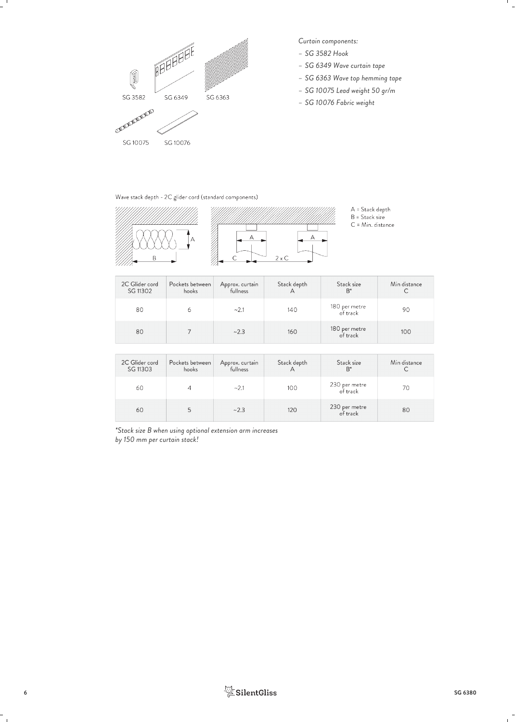

- *– SG 6349 Wave curtain tape*
- *– SG 6363 Wave top hemming tape*
- 
- 

Wave stack depth - 2C glider cord (standard components)





- A = Stack depth
- $B =$  Stack size C = Min. distance

| 2C Glider cord<br>SG 11302 | Pockets between<br>hooks | Approx. curtain<br>fullness | Stack depth | Stack size<br>$B^*$       | Min distance |
|----------------------------|--------------------------|-----------------------------|-------------|---------------------------|--------------|
| 80                         | 6                        | ~2.1                        | 140         | 180 per metre<br>of track | 90           |
| 80                         |                          | ~2.3                        | 160         | 180 per metre<br>of track | 100          |

| 2C Glider cord<br>SG 11303 | Pockets between<br>hooks | Approx. curtain<br>fullness | Stack depth | Stack size<br>$B^*$       | Min distance |
|----------------------------|--------------------------|-----------------------------|-------------|---------------------------|--------------|
| 60                         |                          | ~2.1                        | 100         | 230 per metre<br>of track | 70           |
| 60                         |                          | ~2.3                        | 120         | 230 per metre<br>of track | 80           |

*\*Stack size B when using optional extension arm increases by 150 mm per curtain stack!*

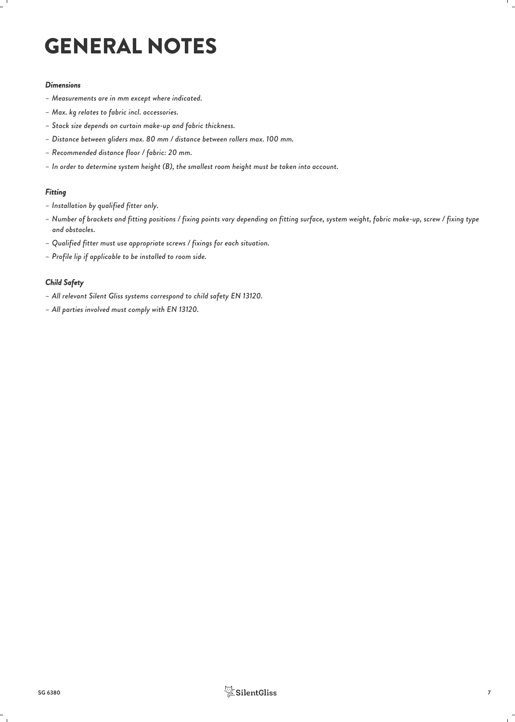## GENERAL NOTES

#### *Dimensions*

- *– Measurements are in mm except where indicated.*
- *– Max. kg relates to fabric incl. accessories.*
- *– Stack size depends on curtain make-up and fabric thickness.*
- *– Distance between gliders max. 80 mm / distance between rollers max. 100 mm.*
- *– Recommended distance floor / fabric: 20 mm.*
- *– In order to determine system height (B), the smallest room height must be taken into account.*

#### *Fitting*

- *– Installation by qualified fitter only.*
- *– Number of brackets and fitting positions / fixing points vary depending on fitting surface, system weight, fabric make-up, screw / fixing type and obstacles.*
- *– Qualified fitter must use appropriate screws / fixings for each situation.*
- *– Profile lip if applicable to be installed to room side.*

#### *Child Safety*

- *– All relevant Silent Gliss systems correspond to child safety EN 13120.*
- *– All parties involved must comply with EN 13120.*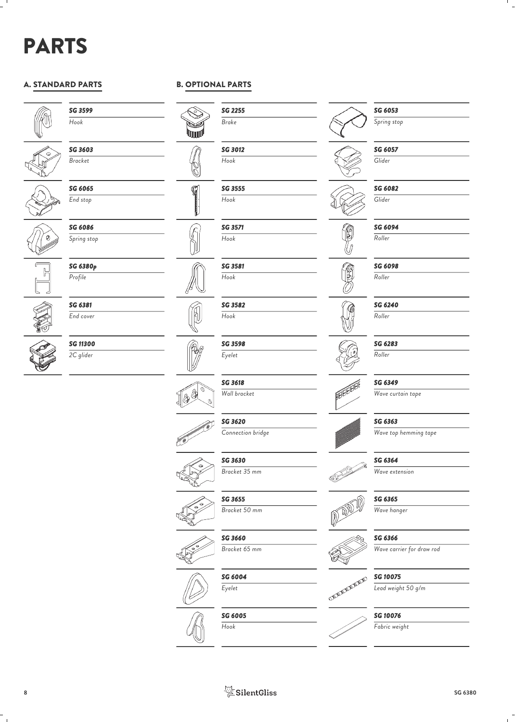## PARTS

#### A. STANDARD PARTS

*SG 3599 Hook*

*SG 3603 Bracket*

*End stop*

*SG 6380p Profile*



*SG 6086*  $\mathcal{O}$ *Spring stop*



*SG 6381 End cover*



*SG 11300 2C glider*





*SG 3555 SG 6065 Hook* ł *SG 3571*

*Hook SG 3581*

*Hook*



*SG 3598 Eyelet*



*SG 3620*

*Wall bracket*











*SG 6053*

*Spring stop*

*SG 6057 Glider*

*SG 6082*

*Glider*

*SG 6094*



*SG 6098*

*Roller*

*SG 6240 Roller*

*SG 6283*

*Roller*



*Wave curtain tape*

*SG 6363 Wave top hemming tape*

*SG 6364*

*SG 6365*

*SG 6366 Wave carrier for draw rod*

*SG 10075*

*Lead weight 50 g/m*



*SG 10076 Fabric weight*











*SG 3655*



*Bracket 65 mm*

*SG 6004*<br>*Eyelet Eyelet SG 6004 Eyelet*

*SG 3660*

*SG 6005 Hook*

*Connection bridge SG 3630*



**SG 3618**<br>Wall bracket<br>*Wall bracket* 







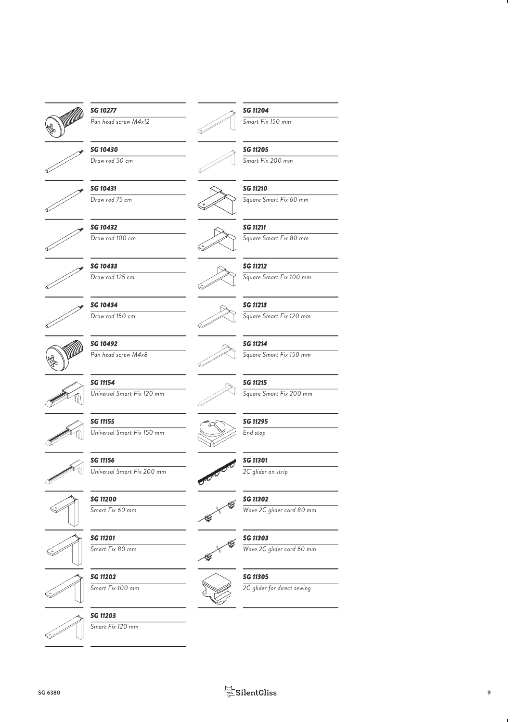

#### *SG 10277 Pan head screw M4x12*



*SG 10430 Draw rod 50 cm Smart Fix 200 mm*



*SG 10431 Draw rod 75 cm Square Smart Fix 60 mm*

*SG 10432 Draw rod 100 cm*



*SG 10433*



*SG 10434*



*SG 10492 Pan head screw M4x8*



*SG 11154 Universal Smart Fix 120 mm*



*SG 11155 Universal Smart Fix 150 mm*



*SG 11156 Universal Smart Fix 200 mm*



*SG 11200*



*SG 11202*

*Smart Fix 80 mm Wave 2C glider cord 60 mm*





*SG 11203 Smart Fix 120 mm*



*SG 11204 Smart Fix 150 mm*

*SG 11205*

*SG 11210*

*SG 11211*









*Draw rod 125 cm Square Smart Fix 100 mm*

*Square Smart Fix 80 mm*

*Draw rod 150 cm Square Smart Fix 120 mm SG 11213*

> *SG 11214 Square Smart Fix 150 mm*

*SG 11215 Square Smart Fix 200 mm*

*SG 11295 End stop*

*SG 11301 2C glider on strip*







*SG 11303*

*SG 11305*

*Smart Fix 100 mm 2C glider for direct sewing*



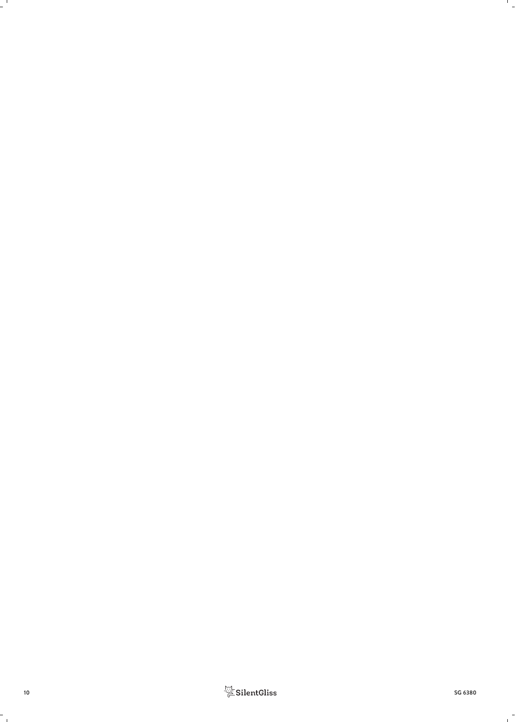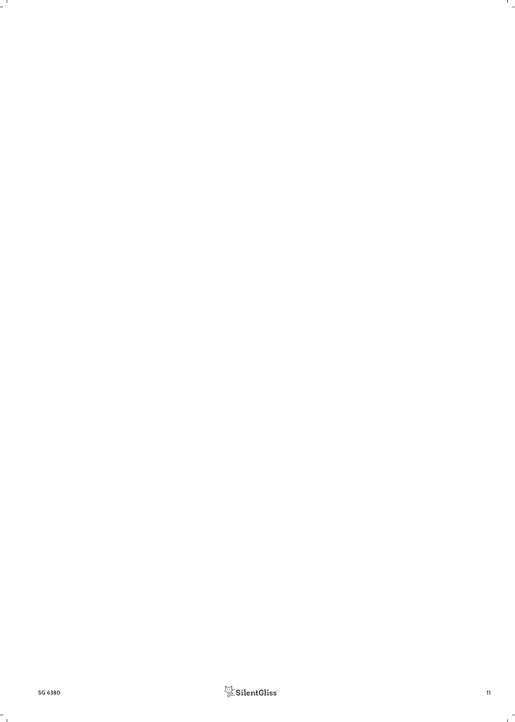